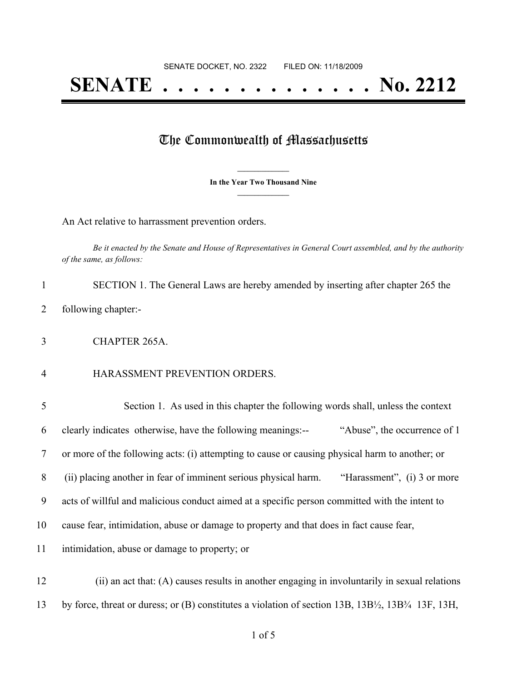## **SENATE . . . . . . . . . . . . . . No. 2212**

## The Commonwealth of Massachusetts

**\_\_\_\_\_\_\_\_\_\_\_\_\_\_\_ In the Year Two Thousand Nine \_\_\_\_\_\_\_\_\_\_\_\_\_\_\_**

An Act relative to harrassment prevention orders.

Be it enacted by the Senate and House of Representatives in General Court assembled, and by the authority *of the same, as follows:*

- SECTION 1. The General Laws are hereby amended by inserting after chapter 265 the following chapter:-
- CHAPTER 265A.
- HARASSMENT PREVENTION ORDERS.

| 5  | Section 1. As used in this chapter the following words shall, unless the context               |
|----|------------------------------------------------------------------------------------------------|
| 6  | clearly indicates otherwise, have the following meanings:--<br>"Abuse", the occurrence of 1    |
| 7  | or more of the following acts: (i) attempting to cause or causing physical harm to another; or |
| 8  | (ii) placing another in fear of imminent serious physical harm.<br>"Harassment", (i) 3 or more |
| 9  | acts of willful and malicious conduct aimed at a specific person committed with the intent to  |
| 10 | cause fear, intimidation, abuse or damage to property and that does in fact cause fear,        |
| 11 | intimidation, abuse or damage to property; or                                                  |
| 12 | (ii) an act that: (A) causes results in another engaging in involuntarily in sexual relations  |

by force, threat or duress; or (B) constitutes a violation of section 13B, 13B½, 13B¾ 13F, 13H,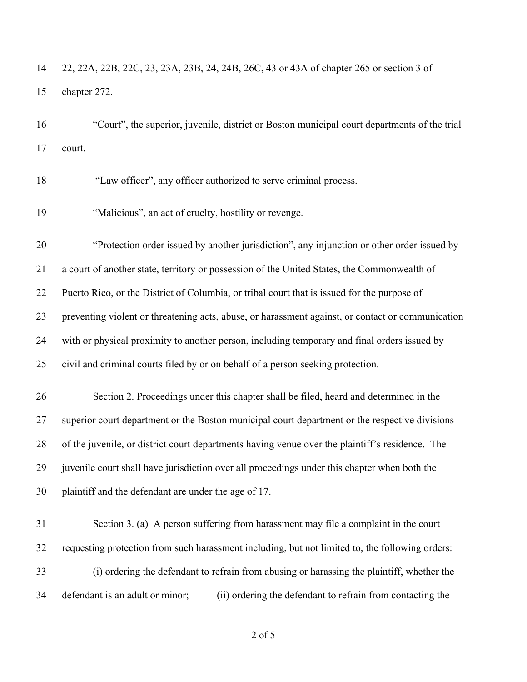22, 22A, 22B, 22C, 23, 23A, 23B, 24, 24B, 26C, 43 or 43A of chapter 265 or section 3 of chapter 272.

 "Court", the superior, juvenile, district or Boston municipal court departments of the trial court.

"Law officer", any officer authorized to serve criminal process.

"Malicious", an act of cruelty, hostility or revenge.

 "Protection order issued by another jurisdiction", any injunction or other order issued by a court of another state, territory or possession of the United States, the Commonwealth of Puerto Rico, or the District of Columbia, or tribal court that is issued for the purpose of preventing violent or threatening acts, abuse, or harassment against, or contact or communication with or physical proximity to another person, including temporary and final orders issued by civil and criminal courts filed by or on behalf of a person seeking protection.

 Section 2. Proceedings under this chapter shall be filed, heard and determined in the superior court department or the Boston municipal court department or the respective divisions of the juvenile, or district court departments having venue over the plaintiff's residence. The juvenile court shall have jurisdiction over all proceedings under this chapter when both the plaintiff and the defendant are under the age of 17.

 Section 3. (a) A person suffering from harassment may file a complaint in the court requesting protection from such harassment including, but not limited to, the following orders: (i) ordering the defendant to refrain from abusing or harassing the plaintiff, whether the defendant is an adult or minor; (ii) ordering the defendant to refrain from contacting the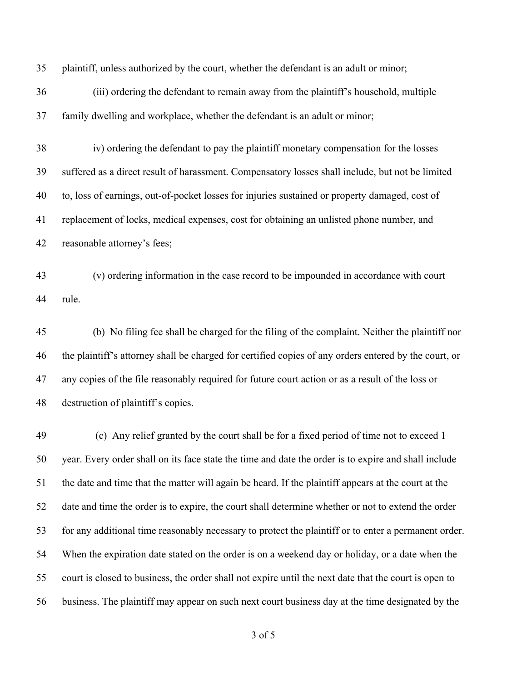plaintiff, unless authorized by the court, whether the defendant is an adult or minor;

 (iii) ordering the defendant to remain away from the plaintiff's household, multiple family dwelling and workplace, whether the defendant is an adult or minor;

 iv) ordering the defendant to pay the plaintiff monetary compensation for the losses suffered as a direct result of harassment. Compensatory losses shall include, but not be limited to, loss of earnings, out-of-pocket losses for injuries sustained or property damaged, cost of replacement of locks, medical expenses, cost for obtaining an unlisted phone number, and reasonable attorney's fees;

 (v) ordering information in the case record to be impounded in accordance with court rule.

 (b) No filing fee shall be charged for the filing of the complaint. Neither the plaintiff nor the plaintiff's attorney shall be charged for certified copies of any orders entered by the court, or any copies of the file reasonably required for future court action or as a result of the loss or destruction of plaintiff's copies.

 (c) Any relief granted by the court shall be for a fixed period of time not to exceed 1 year. Every order shall on its face state the time and date the order is to expire and shall include the date and time that the matter will again be heard. If the plaintiff appears at the court at the date and time the order is to expire, the court shall determine whether or not to extend the order for any additional time reasonably necessary to protect the plaintiff or to enter a permanent order. When the expiration date stated on the order is on a weekend day or holiday, or a date when the court is closed to business, the order shall not expire until the next date that the court is open to business. The plaintiff may appear on such next court business day at the time designated by the

of 5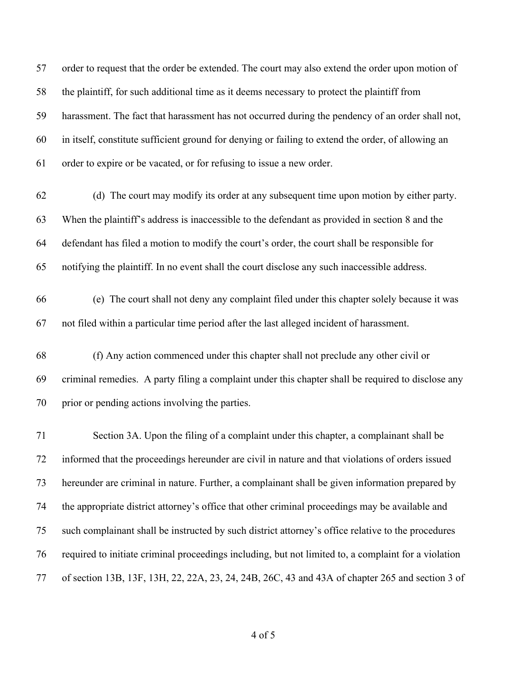order to request that the order be extended. The court may also extend the order upon motion of the plaintiff, for such additional time as it deems necessary to protect the plaintiff from harassment. The fact that harassment has not occurred during the pendency of an order shall not, in itself, constitute sufficient ground for denying or failing to extend the order, of allowing an order to expire or be vacated, or for refusing to issue a new order.

- (d) The court may modify its order at any subsequent time upon motion by either party. When the plaintiff's address is inaccessible to the defendant as provided in section 8 and the defendant has filed a motion to modify the court's order, the court shall be responsible for notifying the plaintiff. In no event shall the court disclose any such inaccessible address.
- (e) The court shall not deny any complaint filed under this chapter solely because it was not filed within a particular time period after the last alleged incident of harassment.
- (f) Any action commenced under this chapter shall not preclude any other civil or criminal remedies. A party filing a complaint under this chapter shall be required to disclose any prior or pending actions involving the parties.

 Section 3A. Upon the filing of a complaint under this chapter, a complainant shall be informed that the proceedings hereunder are civil in nature and that violations of orders issued hereunder are criminal in nature. Further, a complainant shall be given information prepared by the appropriate district attorney's office that other criminal proceedings may be available and such complainant shall be instructed by such district attorney's office relative to the procedures required to initiate criminal proceedings including, but not limited to, a complaint for a violation of section 13B, 13F, 13H, 22, 22A, 23, 24, 24B, 26C, 43 and 43A of chapter 265 and section 3 of